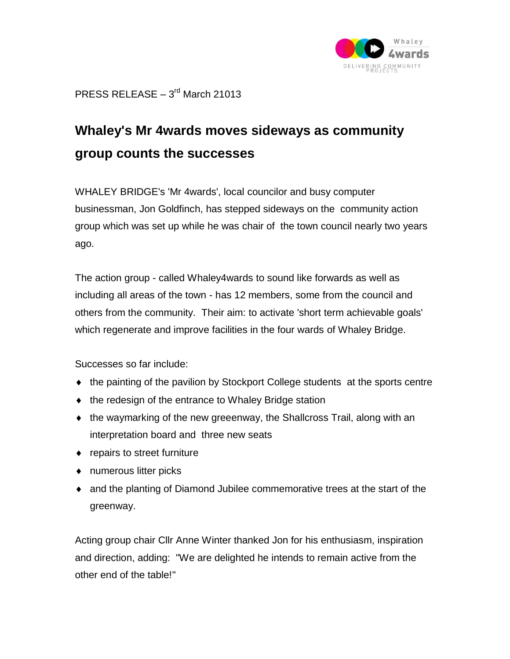

 $PRESS RELEASE - 3<sup>rd</sup> March 21013$ 

## **Whaley's Mr 4wards moves sideways as community group counts the successes**

WHALEY BRIDGE's 'Mr 4wards', local councilor and busy computer businessman, Jon Goldfinch, has stepped sideways on the community action group which was set up while he was chair of the town council nearly two years ago.

The action group - called Whaley4wards to sound like forwards as well as including all areas of the town - has 12 members, some from the council and others from the community. Their aim: to activate 'short term achievable goals' which regenerate and improve facilities in the four wards of Whaley Bridge.

Successes so far include:

- the painting of the pavilion by Stockport College students at the sports centre
- the redesign of the entrance to Whaley Bridge station
- $\bullet$  the waymarking of the new greeenway, the Shallcross Trail, along with an interpretation board and three new seats
- repairs to street furniture
- numerous litter picks
- and the planting of Diamond Jubilee commemorative trees at the start of the greenway.

Acting group chair Cllr Anne Winter thanked Jon for his enthusiasm, inspiration and direction, adding: "We are delighted he intends to remain active from the other end of the table!"